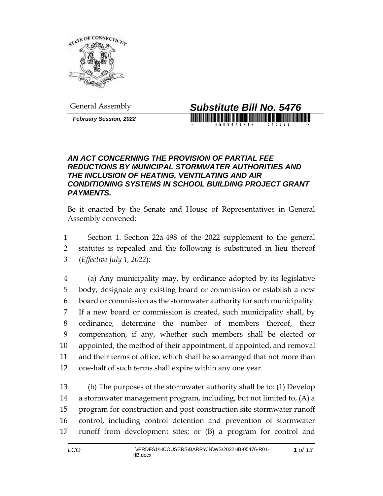

*February Session, 2022*



## *AN ACT CONCERNING THE PROVISION OF PARTIAL FEE REDUCTIONS BY MUNICIPAL STORMWATER AUTHORITIES AND THE INCLUSION OF HEATING, VENTILATING AND AIR CONDITIONING SYSTEMS IN SCHOOL BUILDING PROJECT GRANT PAYMENTS.*

Be it enacted by the Senate and House of Representatives in General Assembly convened:

 Section 1. Section 22a-498 of the 2022 supplement to the general statutes is repealed and the following is substituted in lieu thereof (*Effective July 1, 2022*):

 (a) Any municipality may, by ordinance adopted by its legislative body, designate any existing board or commission or establish a new board or commission as the stormwater authority for such municipality. If a new board or commission is created, such municipality shall, by ordinance, determine the number of members thereof, their compensation, if any, whether such members shall be elected or appointed, the method of their appointment, if appointed, and removal and their terms of office, which shall be so arranged that not more than one-half of such terms shall expire within any one year.

 (b) The purposes of the stormwater authority shall be to: (1) Develop a stormwater management program, including, but not limited to, (A) a program for construction and post-construction site stormwater runoff control, including control detention and prevention of stormwater runoff from development sites; or (B) a program for control and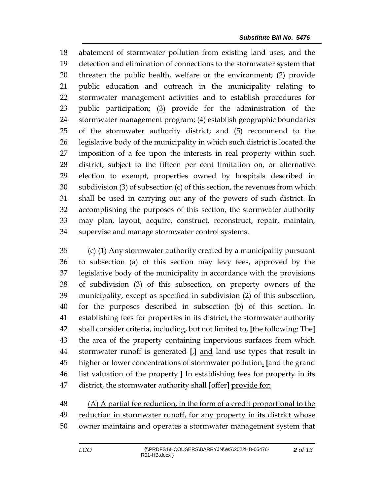abatement of stormwater pollution from existing land uses, and the detection and elimination of connections to the stormwater system that threaten the public health, welfare or the environment; (2) provide public education and outreach in the municipality relating to stormwater management activities and to establish procedures for public participation; (3) provide for the administration of the stormwater management program; (4) establish geographic boundaries of the stormwater authority district; and (5) recommend to the legislative body of the municipality in which such district is located the imposition of a fee upon the interests in real property within such district, subject to the fifteen per cent limitation on, or alternative election to exempt, properties owned by hospitals described in subdivision (3) of subsection (c) of this section, the revenues from which shall be used in carrying out any of the powers of such district. In accomplishing the purposes of this section, the stormwater authority may plan, layout, acquire, construct, reconstruct, repair, maintain, supervise and manage stormwater control systems.

 (c) (1) Any stormwater authority created by a municipality pursuant to subsection (a) of this section may levy fees, approved by the legislative body of the municipality in accordance with the provisions of subdivision (3) of this subsection, on property owners of the municipality, except as specified in subdivision (2) of this subsection, for the purposes described in subsection (b) of this section. In establishing fees for properties in its district, the stormwater authority shall consider criteria, including, but not limited to, **[**the following: The**]** 43 the area of the property containing impervious surfaces from which stormwater runoff is generated **[**,**]** and land use types that result in higher or lower concentrations of stormwater pollution. **[**and the grand list valuation of the property.**]** In establishing fees for property in its district, the stormwater authority shall **[**offer**]** provide for:

 (A) A partial fee reduction, in the form of a credit proportional to the 49 reduction in stormwater runoff, for any property in its district whose owner maintains and operates a stormwater management system that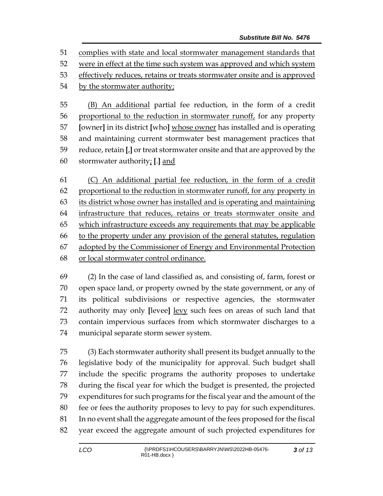complies with state and local stormwater management standards that

were in effect at the time such system was approved and which system

effectively reduces, retains or treats stormwater onsite and is approved

by the stormwater authority;

 (B) An additional partial fee reduction, in the form of a credit proportional to the reduction in stormwater runoff, for any property **[**owner**]** in its district **[**who**]** whose owner has installed and is operating and maintaining current stormwater best management practices that reduce, retain **[**,**]** or treat stormwater onsite and that are approved by the stormwater authority; **[**.**]** and

 (C) An additional partial fee reduction, in the form of a credit proportional to the reduction in stormwater runoff, for any property in its district whose owner has installed and is operating and maintaining infrastructure that reduces, retains or treats stormwater onsite and which infrastructure exceeds any requirements that may be applicable to the property under any provision of the general statutes, regulation adopted by the Commissioner of Energy and Environmental Protection or local stormwater control ordinance.

 (2) In the case of land classified as, and consisting of, farm, forest or open space land, or property owned by the state government, or any of its political subdivisions or respective agencies, the stormwater authority may only **[**levee**]** levy such fees on areas of such land that contain impervious surfaces from which stormwater discharges to a municipal separate storm sewer system.

 (3) Each stormwater authority shall present its budget annually to the legislative body of the municipality for approval. Such budget shall include the specific programs the authority proposes to undertake during the fiscal year for which the budget is presented, the projected expenditures for such programs for the fiscal year and the amount of the fee or fees the authority proposes to levy to pay for such expenditures. In no event shall the aggregate amount of the fees proposed for the fiscal year exceed the aggregate amount of such projected expenditures for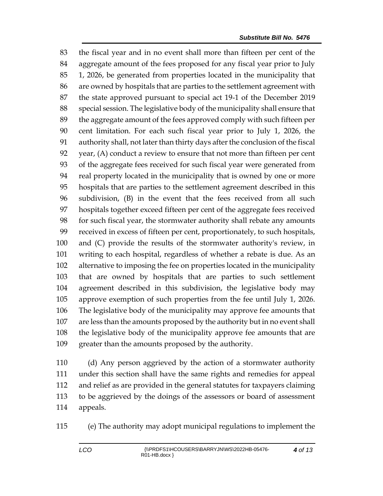the fiscal year and in no event shall more than fifteen per cent of the aggregate amount of the fees proposed for any fiscal year prior to July 1, 2026, be generated from properties located in the municipality that are owned by hospitals that are parties to the settlement agreement with the state approved pursuant to special act 19-1 of the December 2019 special session. The legislative body of the municipality shall ensure that the aggregate amount of the fees approved comply with such fifteen per cent limitation. For each such fiscal year prior to July 1, 2026, the authority shall, not later than thirty days after the conclusion of the fiscal year, (A) conduct a review to ensure that not more than fifteen per cent of the aggregate fees received for such fiscal year were generated from real property located in the municipality that is owned by one or more hospitals that are parties to the settlement agreement described in this subdivision, (B) in the event that the fees received from all such hospitals together exceed fifteen per cent of the aggregate fees received for such fiscal year, the stormwater authority shall rebate any amounts received in excess of fifteen per cent, proportionately, to such hospitals, and (C) provide the results of the stormwater authority's review, in writing to each hospital, regardless of whether a rebate is due. As an alternative to imposing the fee on properties located in the municipality that are owned by hospitals that are parties to such settlement agreement described in this subdivision, the legislative body may approve exemption of such properties from the fee until July 1, 2026. The legislative body of the municipality may approve fee amounts that are less than the amounts proposed by the authority but in no event shall the legislative body of the municipality approve fee amounts that are greater than the amounts proposed by the authority.

 (d) Any person aggrieved by the action of a stormwater authority under this section shall have the same rights and remedies for appeal and relief as are provided in the general statutes for taxpayers claiming to be aggrieved by the doings of the assessors or board of assessment appeals.

(e) The authority may adopt municipal regulations to implement the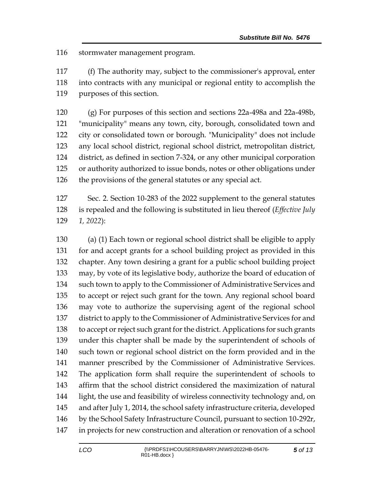stormwater management program.

 (f) The authority may, subject to the commissioner's approval, enter into contracts with any municipal or regional entity to accomplish the purposes of this section.

 (g) For purposes of this section and sections 22a-498a and 22a-498b, "municipality" means any town, city, borough, consolidated town and city or consolidated town or borough. "Municipality" does not include any local school district, regional school district, metropolitan district, district, as defined in section 7-324, or any other municipal corporation or authority authorized to issue bonds, notes or other obligations under the provisions of the general statutes or any special act.

 Sec. 2. Section 10-283 of the 2022 supplement to the general statutes is repealed and the following is substituted in lieu thereof (*Effective July 1, 2022*):

 (a) (1) Each town or regional school district shall be eligible to apply for and accept grants for a school building project as provided in this chapter. Any town desiring a grant for a public school building project may, by vote of its legislative body, authorize the board of education of such town to apply to the Commissioner of Administrative Services and to accept or reject such grant for the town. Any regional school board may vote to authorize the supervising agent of the regional school district to apply to the Commissioner of Administrative Services for and to accept or reject such grant for the district. Applications for such grants under this chapter shall be made by the superintendent of schools of such town or regional school district on the form provided and in the manner prescribed by the Commissioner of Administrative Services. The application form shall require the superintendent of schools to affirm that the school district considered the maximization of natural light, the use and feasibility of wireless connectivity technology and, on and after July 1, 2014, the school safety infrastructure criteria, developed by the School Safety Infrastructure Council, pursuant to section 10-292r, in projects for new construction and alteration or renovation of a school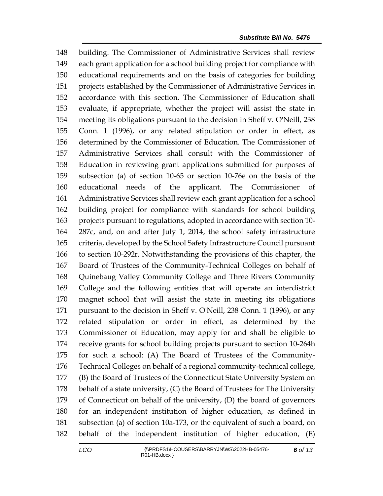building. The Commissioner of Administrative Services shall review each grant application for a school building project for compliance with educational requirements and on the basis of categories for building projects established by the Commissioner of Administrative Services in accordance with this section. The Commissioner of Education shall evaluate, if appropriate, whether the project will assist the state in meeting its obligations pursuant to the decision in Sheff v. O'Neill, 238 Conn. 1 (1996), or any related stipulation or order in effect, as determined by the Commissioner of Education. The Commissioner of Administrative Services shall consult with the Commissioner of Education in reviewing grant applications submitted for purposes of subsection (a) of section 10-65 or section 10-76e on the basis of the educational needs of the applicant. The Commissioner of Administrative Services shall review each grant application for a school building project for compliance with standards for school building projects pursuant to regulations, adopted in accordance with section 10- 287c, and, on and after July 1, 2014, the school safety infrastructure criteria, developed by the School Safety Infrastructure Council pursuant to section 10-292r. Notwithstanding the provisions of this chapter, the Board of Trustees of the Community-Technical Colleges on behalf of Quinebaug Valley Community College and Three Rivers Community College and the following entities that will operate an interdistrict magnet school that will assist the state in meeting its obligations pursuant to the decision in Sheff v. O'Neill, 238 Conn. 1 (1996), or any related stipulation or order in effect, as determined by the Commissioner of Education, may apply for and shall be eligible to receive grants for school building projects pursuant to section 10-264h for such a school: (A) The Board of Trustees of the Community- Technical Colleges on behalf of a regional community-technical college, (B) the Board of Trustees of the Connecticut State University System on behalf of a state university, (C) the Board of Trustees for The University of Connecticut on behalf of the university, (D) the board of governors for an independent institution of higher education, as defined in subsection (a) of section 10a-173, or the equivalent of such a board, on behalf of the independent institution of higher education, (E)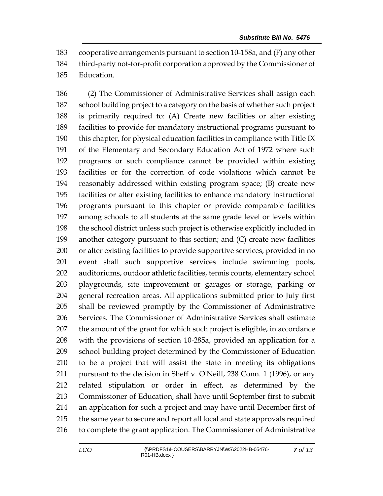cooperative arrangements pursuant to section 10-158a, and (F) any other third-party not-for-profit corporation approved by the Commissioner of Education.

 (2) The Commissioner of Administrative Services shall assign each school building project to a category on the basis of whether such project is primarily required to: (A) Create new facilities or alter existing facilities to provide for mandatory instructional programs pursuant to this chapter, for physical education facilities in compliance with Title IX of the Elementary and Secondary Education Act of 1972 where such programs or such compliance cannot be provided within existing facilities or for the correction of code violations which cannot be reasonably addressed within existing program space; (B) create new facilities or alter existing facilities to enhance mandatory instructional programs pursuant to this chapter or provide comparable facilities among schools to all students at the same grade level or levels within the school district unless such project is otherwise explicitly included in another category pursuant to this section; and (C) create new facilities or alter existing facilities to provide supportive services, provided in no event shall such supportive services include swimming pools, auditoriums, outdoor athletic facilities, tennis courts, elementary school playgrounds, site improvement or garages or storage, parking or general recreation areas. All applications submitted prior to July first shall be reviewed promptly by the Commissioner of Administrative Services. The Commissioner of Administrative Services shall estimate the amount of the grant for which such project is eligible, in accordance with the provisions of section 10-285a, provided an application for a school building project determined by the Commissioner of Education to be a project that will assist the state in meeting its obligations pursuant to the decision in Sheff v. O'Neill, 238 Conn. 1 (1996), or any related stipulation or order in effect, as determined by the Commissioner of Education, shall have until September first to submit an application for such a project and may have until December first of the same year to secure and report all local and state approvals required to complete the grant application. The Commissioner of Administrative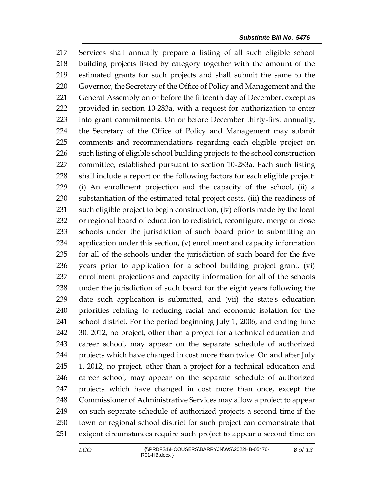Services shall annually prepare a listing of all such eligible school building projects listed by category together with the amount of the estimated grants for such projects and shall submit the same to the Governor, the Secretary of the Office of Policy and Management and the 221 General Assembly on or before the fifteenth day of December, except as provided in section 10-283a, with a request for authorization to enter into grant commitments. On or before December thirty-first annually, the Secretary of the Office of Policy and Management may submit comments and recommendations regarding each eligible project on such listing of eligible school building projects to the school construction committee, established pursuant to section 10-283a. Each such listing shall include a report on the following factors for each eligible project: (i) An enrollment projection and the capacity of the school, (ii) a substantiation of the estimated total project costs, (iii) the readiness of such eligible project to begin construction, (iv) efforts made by the local or regional board of education to redistrict, reconfigure, merge or close schools under the jurisdiction of such board prior to submitting an application under this section, (v) enrollment and capacity information for all of the schools under the jurisdiction of such board for the five years prior to application for a school building project grant, (vi) enrollment projections and capacity information for all of the schools under the jurisdiction of such board for the eight years following the date such application is submitted, and (vii) the state's education priorities relating to reducing racial and economic isolation for the school district. For the period beginning July 1, 2006, and ending June 30, 2012, no project, other than a project for a technical education and career school, may appear on the separate schedule of authorized projects which have changed in cost more than twice. On and after July 1, 2012, no project, other than a project for a technical education and career school, may appear on the separate schedule of authorized projects which have changed in cost more than once, except the Commissioner of Administrative Services may allow a project to appear on such separate schedule of authorized projects a second time if the town or regional school district for such project can demonstrate that exigent circumstances require such project to appear a second time on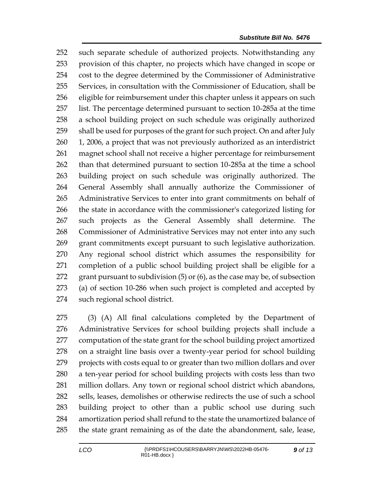such separate schedule of authorized projects. Notwithstanding any provision of this chapter, no projects which have changed in scope or cost to the degree determined by the Commissioner of Administrative Services, in consultation with the Commissioner of Education, shall be eligible for reimbursement under this chapter unless it appears on such list. The percentage determined pursuant to section 10-285a at the time a school building project on such schedule was originally authorized shall be used for purposes of the grant for such project. On and after July 1, 2006, a project that was not previously authorized as an interdistrict magnet school shall not receive a higher percentage for reimbursement than that determined pursuant to section 10-285a at the time a school building project on such schedule was originally authorized. The General Assembly shall annually authorize the Commissioner of Administrative Services to enter into grant commitments on behalf of the state in accordance with the commissioner's categorized listing for such projects as the General Assembly shall determine. The Commissioner of Administrative Services may not enter into any such grant commitments except pursuant to such legislative authorization. Any regional school district which assumes the responsibility for completion of a public school building project shall be eligible for a grant pursuant to subdivision (5) or (6), as the case may be, of subsection (a) of section 10-286 when such project is completed and accepted by such regional school district.

 (3) (A) All final calculations completed by the Department of Administrative Services for school building projects shall include a computation of the state grant for the school building project amortized on a straight line basis over a twenty-year period for school building projects with costs equal to or greater than two million dollars and over a ten-year period for school building projects with costs less than two million dollars. Any town or regional school district which abandons, sells, leases, demolishes or otherwise redirects the use of such a school building project to other than a public school use during such amortization period shall refund to the state the unamortized balance of the state grant remaining as of the date the abandonment, sale, lease,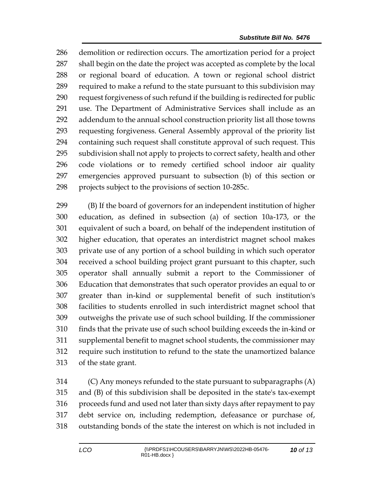demolition or redirection occurs. The amortization period for a project shall begin on the date the project was accepted as complete by the local or regional board of education. A town or regional school district required to make a refund to the state pursuant to this subdivision may request forgiveness of such refund if the building is redirected for public use. The Department of Administrative Services shall include as an addendum to the annual school construction priority list all those towns requesting forgiveness. General Assembly approval of the priority list containing such request shall constitute approval of such request. This subdivision shall not apply to projects to correct safety, health and other code violations or to remedy certified school indoor air quality emergencies approved pursuant to subsection (b) of this section or projects subject to the provisions of section 10-285c.

 (B) If the board of governors for an independent institution of higher education, as defined in subsection (a) of section 10a-173, or the equivalent of such a board, on behalf of the independent institution of higher education, that operates an interdistrict magnet school makes private use of any portion of a school building in which such operator received a school building project grant pursuant to this chapter, such operator shall annually submit a report to the Commissioner of Education that demonstrates that such operator provides an equal to or greater than in-kind or supplemental benefit of such institution's facilities to students enrolled in such interdistrict magnet school that outweighs the private use of such school building. If the commissioner finds that the private use of such school building exceeds the in-kind or supplemental benefit to magnet school students, the commissioner may require such institution to refund to the state the unamortized balance of the state grant.

 (C) Any moneys refunded to the state pursuant to subparagraphs (A) and (B) of this subdivision shall be deposited in the state's tax-exempt proceeds fund and used not later than sixty days after repayment to pay debt service on, including redemption, defeasance or purchase of, outstanding bonds of the state the interest on which is not included in

*of 13*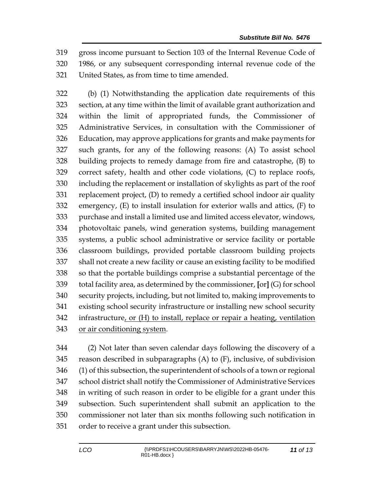gross income pursuant to Section 103 of the Internal Revenue Code of 1986, or any subsequent corresponding internal revenue code of the United States, as from time to time amended.

 (b) (1) Notwithstanding the application date requirements of this section, at any time within the limit of available grant authorization and within the limit of appropriated funds, the Commissioner of Administrative Services, in consultation with the Commissioner of Education, may approve applications for grants and make payments for such grants, for any of the following reasons: (A) To assist school building projects to remedy damage from fire and catastrophe, (B) to correct safety, health and other code violations, (C) to replace roofs, including the replacement or installation of skylights as part of the roof replacement project, (D) to remedy a certified school indoor air quality emergency, (E) to install insulation for exterior walls and attics, (F) to purchase and install a limited use and limited access elevator, windows, photovoltaic panels, wind generation systems, building management systems, a public school administrative or service facility or portable classroom buildings, provided portable classroom building projects shall not create a new facility or cause an existing facility to be modified so that the portable buildings comprise a substantial percentage of the total facility area, as determined by the commissioner, **[**or**]** (G) for school security projects, including, but not limited to, making improvements to existing school security infrastructure or installing new school security infrastructure, or (H) to install, replace or repair a heating, ventilation or air conditioning system.

 (2) Not later than seven calendar days following the discovery of a reason described in subparagraphs (A) to (F), inclusive, of subdivision (1) of this subsection, the superintendent of schools of a town or regional school district shall notify the Commissioner of Administrative Services in writing of such reason in order to be eligible for a grant under this subsection. Such superintendent shall submit an application to the commissioner not later than six months following such notification in order to receive a grant under this subsection.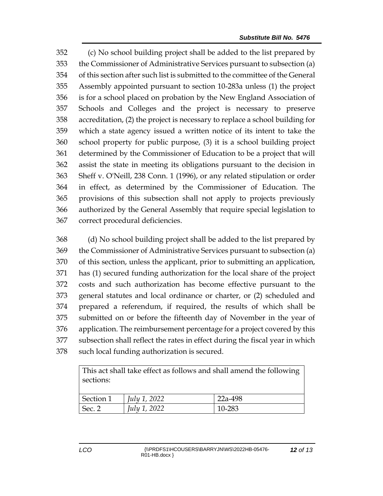(c) No school building project shall be added to the list prepared by the Commissioner of Administrative Services pursuant to subsection (a) of this section after such list is submitted to the committee of the General Assembly appointed pursuant to section 10-283a unless (1) the project is for a school placed on probation by the New England Association of Schools and Colleges and the project is necessary to preserve accreditation, (2) the project is necessary to replace a school building for which a state agency issued a written notice of its intent to take the school property for public purpose, (3) it is a school building project determined by the Commissioner of Education to be a project that will assist the state in meeting its obligations pursuant to the decision in Sheff v. O'Neill, 238 Conn. 1 (1996), or any related stipulation or order in effect, as determined by the Commissioner of Education. The provisions of this subsection shall not apply to projects previously authorized by the General Assembly that require special legislation to correct procedural deficiencies.

 (d) No school building project shall be added to the list prepared by the Commissioner of Administrative Services pursuant to subsection (a) of this section, unless the applicant, prior to submitting an application, has (1) secured funding authorization for the local share of the project costs and such authorization has become effective pursuant to the general statutes and local ordinance or charter, or (2) scheduled and prepared a referendum, if required, the results of which shall be submitted on or before the fifteenth day of November in the year of application. The reimbursement percentage for a project covered by this subsection shall reflect the rates in effect during the fiscal year in which such local funding authorization is secured.

This act shall take effect as follows and shall amend the following sections:

| Section 1 | July 1, 2022        | 22a-498 |
|-----------|---------------------|---------|
| Sec. 2    | <i>July 1, 2022</i> | 10-283  |